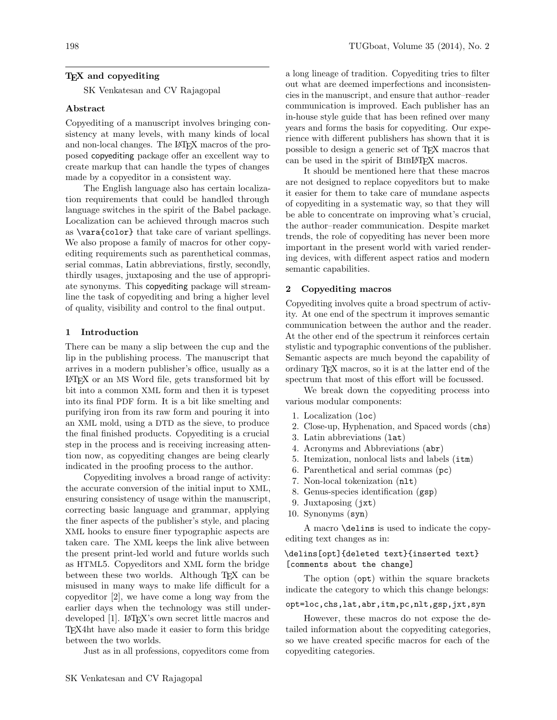### T<sub>EX</sub> and copyediting

SK Venkatesan and CV Rajagopal

#### Abstract

Copyediting of a manuscript involves bringing consistency at many levels, with many kinds of local and non-local changes. The L<sup>AT</sup>EX macros of the proposed copyediting package offer an excellent way to create markup that can handle the types of changes made by a copyeditor in a consistent way.

The English language also has certain localization requirements that could be handled through language switches in the spirit of the Babel package. Localization can be achieved through macros such as \vara{color} that take care of variant spellings. We also propose a family of macros for other copyediting requirements such as parenthetical commas, serial commas, Latin abbreviations, firstly, secondly, thirdly usages, juxtaposing and the use of appropriate synonyms. This copyediting package will streamline the task of copyediting and bring a higher level of quality, visibility and control to the final output.

#### 1 Introduction

There can be many a slip between the cup and the lip in the publishing process. The manuscript that arrives in a modern publisher's office, usually as a LATEX or an MS Word file, gets transformed bit by bit into a common XML form and then it is typeset into its final PDF form. It is a bit like smelting and purifying iron from its raw form and pouring it into an XML mold, using a DTD as the sieve, to produce the final finished products. Copyediting is a crucial step in the process and is receiving increasing attention now, as copyediting changes are being clearly indicated in the proofing process to the author.

Copyediting involves a broad range of activity: the accurate conversion of the initial input to XML, ensuring consistency of usage within the manuscript, correcting basic language and grammar, applying the finer aspects of the publisher's style, and placing XML hooks to ensure finer typographic aspects are taken care. The XML keeps the link alive between the present print-led world and future worlds such as HTML5. Copyeditors and XML form the bridge between these two worlds. Although T<sub>EX</sub> can be misused in many ways to make life difficult for a copyeditor [\[2\]](#page-3-0), we have come a long way from the earlier days when the technology was still under-developed [\[1\]](#page-3-1). LAT<sub>EX</sub>'s own secret little macros and TEX4ht have also made it easier to form this bridge between the two worlds.

Just as in all professions, copyeditors come from

a long lineage of tradition. Copyediting tries to filter out what are deemed imperfections and inconsistencies in the manuscript, and ensure that author–reader communication is improved. Each publisher has an in-house style guide that has been refined over many years and forms the basis for copyediting. Our experience with different publishers has shown that it is possible to design a generic set of TEX macros that can be used in the spirit of BIBLATEX macros.

It should be mentioned here that these macros are not designed to replace copyeditors but to make it easier for them to take care of mundane aspects of copyediting in a systematic way, so that they will be able to concentrate on improving what's crucial, the author–reader communication. Despite market trends, the role of copyediting has never been more important in the present world with varied rendering devices, with different aspect ratios and modern semantic capabilities.

### 2 Copyediting macros

Copyediting involves quite a broad spectrum of activity. At one end of the spectrum it improves semantic communication between the author and the reader. At the other end of the spectrum it reinforces certain stylistic and typographic conventions of the publisher. Semantic aspects are much beyond the capability of ordinary TEX macros, so it is at the latter end of the spectrum that most of this effort will be focussed.

We break down the copyediting process into various modular components:

- 1. Localization (loc)
- 2. Close-up, Hyphenation, and Spaced words (chs)
- 3. Latin abbreviations (lat)
- 4. Acronyms and Abbreviations (abr)
- 5. Itemization, nonlocal lists and labels (itm)
- 6. Parenthetical and serial commas (pc)
- 7. Non-local tokenization (nlt)
- 8. Genus-species identification (gsp)
- 9. Juxtaposing (jxt)
- 10. Synonyms (syn)

A macro \delins is used to indicate the copyediting text changes as in:

# \delins[opt]{deleted text}{inserted text} [comments about the change]

The option (opt) within the square brackets indicate the category to which this change belongs:

opt=loc,chs,lat,abr,itm,pc,nlt,gsp,jxt,syn

However, these macros do not expose the detailed information about the copyediting categories, so we have created specific macros for each of the copyediting categories.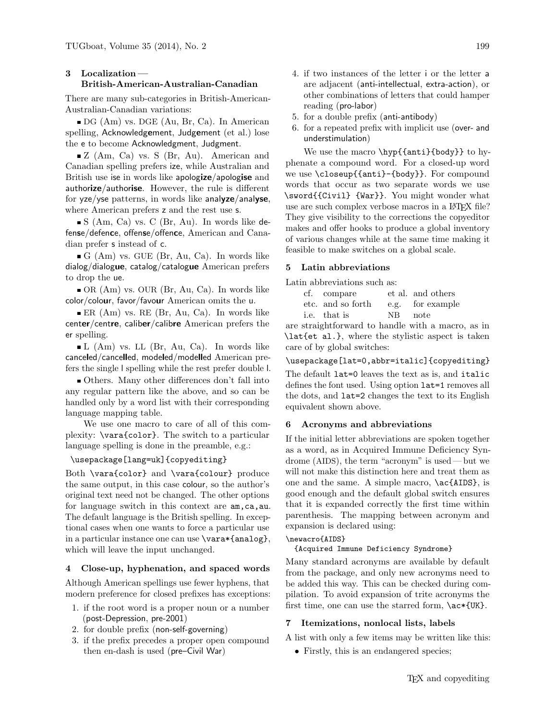# 3 Localization — British-American-Australian-Canadian

There are many sub-categories in British-American-Australian-Canadian variations:

DG (Am) vs. DGE (Au, Br, Ca). In American spelling, Acknowledgement, Judgement (et al.) lose the e to become Acknowledgment, Judgment.

■ Z (Am, Ca) vs. S (Br, Au). American and Canadian spelling prefers ize, while Australian and British use ise in words like apologize/apologise and authorize/authorise. However, the rule is different for yze/yse patterns, in words like analyze/analyse, where American prefers z and the rest use s.

 $\blacksquare$  S (Am, Ca) vs. C (Br, Au). In words like defense/defence, offense/offence, American and Canadian prefer s instead of c.

 $\blacksquare$  G (Am) vs. GUE (Br, Au, Ca). In words like dialog/dialogue, catalog/catalogue American prefers to drop the ue.

OR (Am) vs. OUR (Br, Au, Ca). In words like color/colour, favor/favour American omits the u.

 $\blacksquare$  ER (Am) vs. RE (Br, Au, Ca). In words like center/centre, caliber/calibre American prefers the er spelling.

 $\blacksquare$  L (Am) vs. LL (Br, Au, Ca). In words like canceled/cancelled, modeled/modelled American prefers the single l spelling while the rest prefer double l.

Others. Many other differences don't fall into any regular pattern like the above, and so can be handled only by a word list with their corresponding language mapping table.

We use one macro to care of all of this complexity: \vara{color}. The switch to a particular language spelling is done in the preamble, e.g.:

### \usepackage[lang=uk]{copyediting}

Both \vara{color} and \vara{colour} produce the same output, in this case colour, so the author's original text need not be changed. The other options for language switch in this context are  $am, ca, au$ . The default language is the British spelling. In exceptional cases when one wants to force a particular use in a particular instance one can use \vara\*{analog}, which will leave the input unchanged.

### 4 Close-up, hyphenation, and spaced words

Although American spellings use fewer hyphens, that modern preference for closed prefixes has exceptions:

- 1. if the root word is a proper noun or a number (post-Depression, pre-2001)
- 2. for double prefix (non-self-governing)
- 3. if the prefix precedes a proper open compound then en-dash is used (pre–Civil War)
- 4. if two instances of the letter i or the letter a are adjacent (anti-intellectual, extra-action), or other combinations of letters that could hamper reading (pro-labor)
- 5. for a double prefix (anti-antibody)
- 6. for a repeated prefix with implicit use (over- and understimulation)

We use the macro \hyp{{anti}{body}} to hyphenate a compound word. For a closed-up word we use \closeup{{anti}-{body}}. For compound words that occur as two separate words we use \sword{{Civil} {War}}. You might wonder what use are such complex verbose macros in a LAT<sub>EX</sub> file? They give visibility to the corrections the copyeditor makes and offer hooks to produce a global inventory of various changes while at the same time making it feasible to make switches on a global scale.

#### 5 Latin abbreviations

Latin abbreviations such as:

| cf. compare       |         | et al. and others |
|-------------------|---------|-------------------|
| etc. and so forth |         | e.g. for example  |
| i.e. that is      | NB note |                   |

are straightforward to handle with a macro, as in \lat{et al.}, where the stylistic aspect is taken care of by global switches:

#### \usepackage[lat=0,abbr=italic]{copyediting}

The default lat=0 leaves the text as is, and italic defines the font used. Using option lat=1 removes all the dots, and lat=2 changes the text to its English equivalent shown above.

### 6 Acronyms and abbreviations

If the initial letter abbreviations are spoken together as a word, as in Acquired Immune Deficiency Syndrome (AIDS), the term "acronym" is used — but we will not make this distinction here and treat them as one and the same. A simple macro, \ac{AIDS}, is good enough and the default global switch ensures that it is expanded correctly the first time within parenthesis. The mapping between acronym and expansion is declared using:

# \newacro{AIDS}

{Acquired Immune Deficiency Syndrome}

Many standard acronyms are available by default from the package, and only new acronyms need to be added this way. This can be checked during compilation. To avoid expansion of trite acronyms the first time, one can use the starred form,  $\ac*{UK}.$ 

#### 7 Itemizations, nonlocal lists, labels

A list with only a few items may be written like this:

• Firstly, this is an endangered species;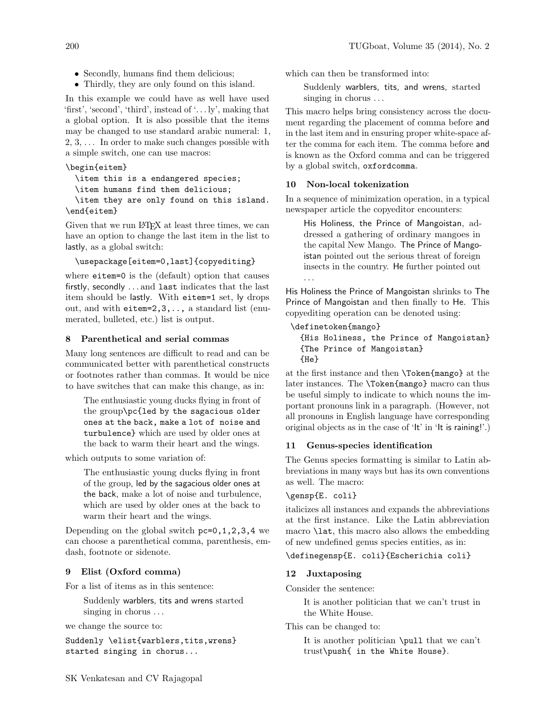- Secondly, humans find them delicious;
- Thirdly, they are only found on this island.

In this example we could have as well have used 'first', 'second', 'third', instead of '. . . ly', making that a global option. It is also possible that the items may be changed to use standard arabic numeral: 1,  $2, 3, \ldots$  In order to make such changes possible with a simple switch, one can use macros:

## \begin{eitem}

\item this is a endangered species;

\item humans find them delicious;

\item they are only found on this island. \end{eitem}

Given that we run LAT<sub>EX</sub> at least three times, we can have an option to change the last item in the list to lastly, as a global switch:

### \usepackage[eitem=0,last]{copyediting}

where eitem=0 is the (default) option that causes firstly, secondly . . . and last indicates that the last item should be lastly. With eitem=1 set, ly drops out, and with eitem=2,3,.., a standard list (enumerated, bulleted, etc.) list is output.

### 8 Parenthetical and serial commas

Many long sentences are difficult to read and can be communicated better with parenthetical constructs or footnotes rather than commas. It would be nice to have switches that can make this change, as in:

The enthusiastic young ducks flying in front of the group\pc{led by the sagacious older ones at the back, make a lot of noise and turbulence} which are used by older ones at the back to warm their heart and the wings.

which outputs to some variation of:

The enthusiastic young ducks flying in front of the group, led by the sagacious older ones at the back, make a lot of noise and turbulence, which are used by older ones at the back to warm their heart and the wings.

Depending on the global switch pc=0,1,2,3,4 we can choose a parenthetical comma, parenthesis, emdash, footnote or sidenote.

### 9 Elist (Oxford comma)

For a list of items as in this sentence:

Suddenly warblers, tits and wrens started singing in chorus . . .

we change the source to:

Suddenly \elist{warblers,tits,wrens} started singing in chorus...

which can then be transformed into:

Suddenly warblers, tits, and wrens, started singing in chorus ...

This macro helps bring consistency across the document regarding the placement of comma before and in the last item and in ensuring proper white-space after the comma for each item. The comma before and is known as the Oxford comma and can be triggered by a global switch, oxfordcomma.

#### 10 Non-local tokenization

In a sequence of minimization operation, in a typical newspaper article the copyeditor encounters:

His Holiness, the Prince of Mangoistan, addressed a gathering of ordinary mangoes in the capital New Mango. The Prince of Mangoistan pointed out the serious threat of foreign insects in the country. He further pointed out . . .

His Holiness the Prince of Mangoistan shrinks to The Prince of Mangoistan and then finally to He. This copyediting operation can be denoted using:

#### \definetoken{mango}

{His Holiness, the Prince of Mangoistan} {The Prince of Mangoistan} {He}

at the first instance and then \Token{mango} at the later instances. The \Token{mango} macro can thus be useful simply to indicate to which nouns the important pronouns link in a paragraph. (However, not all pronouns in English language have corresponding original objects as in the case of 'It' in 'It is raining!'.)

### 11 Genus-species identification

The Genus species formatting is similar to Latin abbreviations in many ways but has its own conventions as well. The macro:

### \gensp{E. coli}

italicizes all instances and expands the abbreviations at the first instance. Like the Latin abbreviation macro \lat, this macro also allows the embedding of new undefined genus species entities, as in:

# \definegensp{E. coli}{Escherichia coli}

### 12 Juxtaposing

Consider the sentence:

It is another politician that we can't trust in the White House.

This can be changed to:

It is another politician \pull that we can't trust\push{ in the White House}.